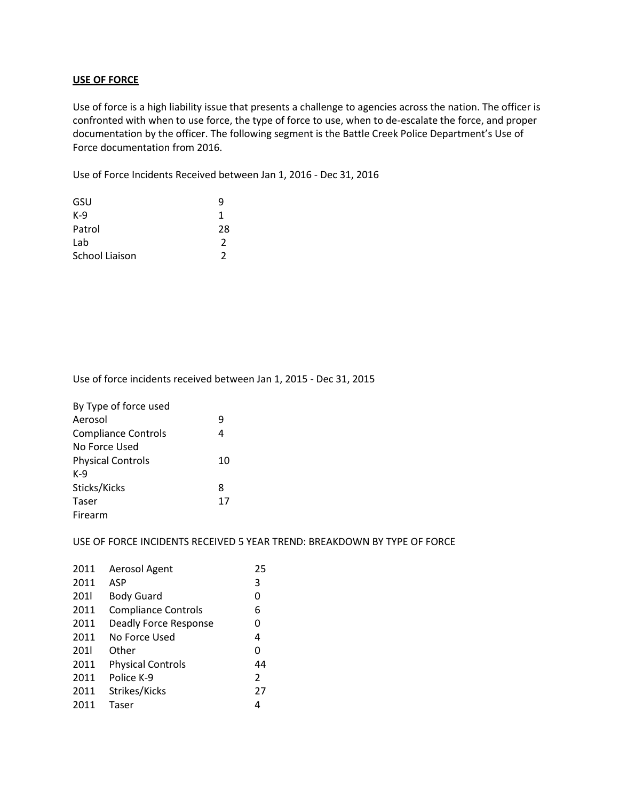## **USE OF FORCE**

Use of force is a high liability issue that presents a challenge to agencies across the nation. The officer is confronted with when to use force, the type of force to use, when to de-escalate the force, and proper documentation by the officer. The following segment is the Battle Creek Police Department's Use of Force documentation from 2016.

Use of Force Incidents Received between Jan 1, 2016 - Dec 31, 2016

| GSU            |    |
|----------------|----|
| $K-9$          | 1  |
| Patrol         | 28 |
| Lab            | 2  |
| School Liaison | 2  |
|                |    |

Use of force incidents received between Jan 1, 2015 - Dec 31, 2015

| By Type of force used      |    |
|----------------------------|----|
| Aerosol                    | 9  |
| <b>Compliance Controls</b> |    |
| No Force Used              |    |
| <b>Physical Controls</b>   | 10 |
| K-9                        |    |
| Sticks/Kicks               | 8  |
| Taser                      | 17 |
| Firearm                    |    |

USE OF FORCE INCIDENTS RECEIVED 5 YEAR TREND: BREAKDOWN BY TYPE OF FORCE

| 2011 | Aerosol Agent              | 25            |
|------|----------------------------|---------------|
| 2011 | ASP                        | 3             |
| 2011 | <b>Body Guard</b>          | 0             |
| 2011 | <b>Compliance Controls</b> | 6             |
| 2011 | Deadly Force Response      | 0             |
| 2011 | No Force Used              | 4             |
| 2011 | Other                      | 0             |
| 2011 | <b>Physical Controls</b>   | 44            |
| 2011 | Police K-9                 | $\mathcal{P}$ |
| 2011 | Strikes/Kicks              | 27            |
| 2011 | Taser                      | 4             |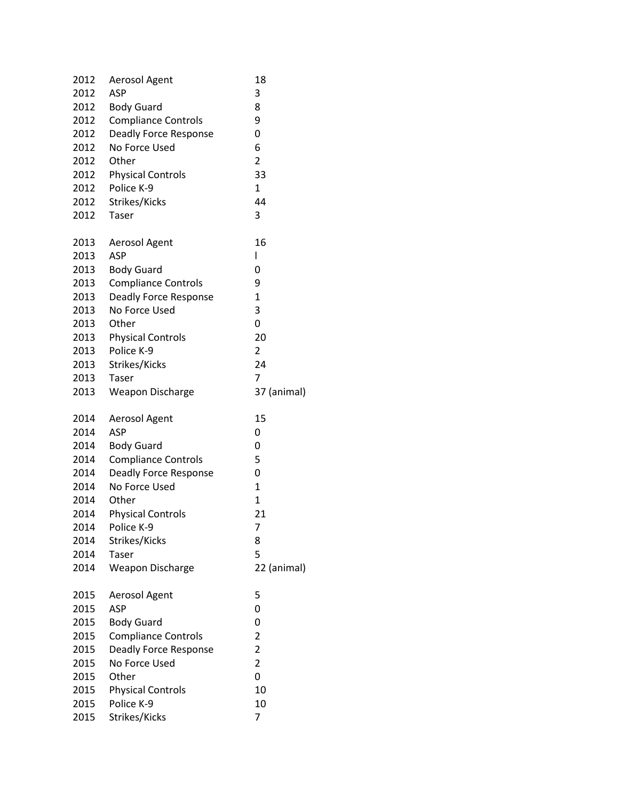| 2012 | Aerosol Agent                          | 18             |
|------|----------------------------------------|----------------|
| 2012 | <b>ASP</b>                             | 3              |
| 2012 | <b>Body Guard</b>                      | 8              |
| 2012 | <b>Compliance Controls</b>             | 9              |
| 2012 | <b>Deadly Force Response</b>           | 0              |
| 2012 | No Force Used                          | 6              |
| 2012 | Other                                  | $\overline{2}$ |
| 2012 | <b>Physical Controls</b>               | 33             |
| 2012 | Police K-9                             | 1              |
| 2012 | Strikes/Kicks                          | 44             |
| 2012 | Taser                                  | 3              |
| 2013 | Aerosol Agent                          | 16             |
| 2013 | <b>ASP</b>                             | I              |
| 2013 | <b>Body Guard</b>                      | 0              |
| 2013 | <b>Compliance Controls</b>             | 9              |
| 2013 | Deadly Force Response                  | $\mathbf 1$    |
| 2013 | No Force Used                          | 3              |
| 2013 | Other                                  | 0              |
| 2013 | <b>Physical Controls</b>               | 20             |
| 2013 | Police K-9                             | 2              |
| 2013 | Strikes/Kicks                          | 24             |
| 2013 | Taser                                  | 7              |
| 2013 | <b>Weapon Discharge</b>                | 37 (animal)    |
| 2014 | Aerosol Agent                          | 15             |
|      | <b>ASP</b>                             | 0              |
| 2014 |                                        |                |
| 2014 | <b>Body Guard</b>                      | 0              |
| 2014 | <b>Compliance Controls</b>             | 5              |
| 2014 | Deadly Force Response                  | 0              |
| 2014 | No Force Used                          | $\mathbf{1}$   |
| 2014 | Other                                  | 1              |
| 2014 |                                        | 21             |
| 2014 | <b>Physical Controls</b><br>Police K-9 | 7              |
| 2014 | Strikes/Kicks                          | 8              |
| 2014 | Taser                                  | 5              |
| 2014 | <b>Weapon Discharge</b>                | 22 (animal)    |
| 2015 | Aerosol Agent                          | 5              |
| 2015 | <b>ASP</b>                             | 0              |
| 2015 | <b>Body Guard</b>                      | 0              |
| 2015 | <b>Compliance Controls</b>             | 2              |
| 2015 | Deadly Force Response                  | $\overline{2}$ |
| 2015 | No Force Used                          | $\overline{2}$ |
| 2015 | Other                                  | 0              |
| 2015 | <b>Physical Controls</b>               | 10             |
| 2015 | Police K-9                             | 10             |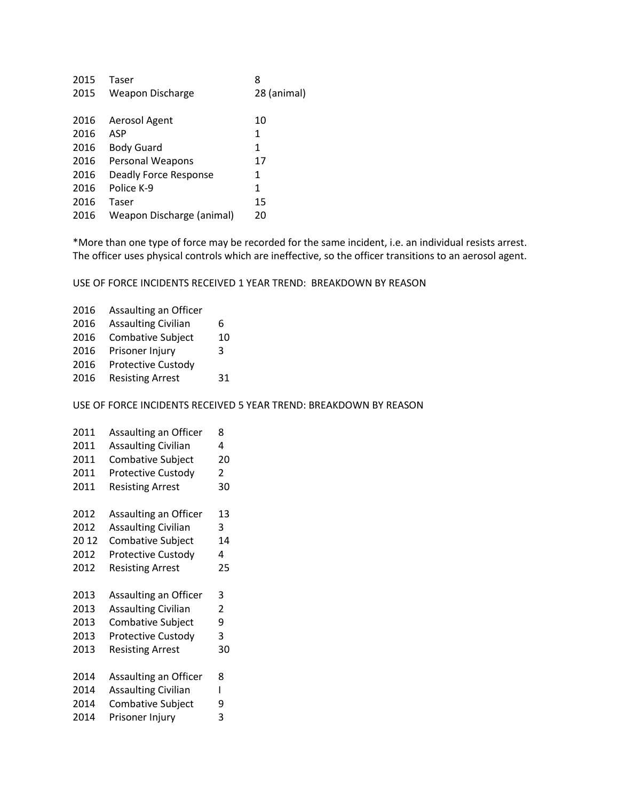| 2015 | Taser                     | 8           |
|------|---------------------------|-------------|
| 2015 | Weapon Discharge          | 28 (animal) |
| 2016 | Aerosol Agent             | 10          |
| 2016 | ASP                       | 1           |
| 2016 | <b>Body Guard</b>         | 1           |
| 2016 | Personal Weapons          | 17          |
| 2016 | Deadly Force Response     | 1           |
| 2016 | Police K-9                | 1           |
| 2016 | Taser                     | 15          |
| 2016 | Weapon Discharge (animal) | 20          |
|      |                           |             |

\*More than one type of force may be recorded for the same incident, i.e. an individual resists arrest. The officer uses physical controls which are ineffective, so the officer transitions to an aerosol agent.

USE OF FORCE INCIDENTS RECEIVED 1 YEAR TREND: BREAKDOWN BY REASON

| 2016 | Assaulting an Officer      |    |
|------|----------------------------|----|
| 2016 | <b>Assaulting Civilian</b> | 6  |
| 2016 | <b>Combative Subject</b>   | 10 |
| 2016 | Prisoner Injury            | 3  |
| 2016 | <b>Protective Custody</b>  |    |
| 2016 | <b>Resisting Arrest</b>    | 31 |
|      |                            |    |

USE OF FORCE INCIDENTS RECEIVED 5 YEAR TREND: BREAKDOWN BY REASON

| 2011 | Assaulting an Officer      | 8 |
|------|----------------------------|---|
| 2011 | <b>Assaulting Civilian</b> | 4 |

- 2011 Combative Subject 20
- 2011 Protective Custody 2
- 2011 Resisting Arrest 30
- 2012 Assaulting an Officer 13
- 2012 Assaulting Civilian 3
- 2012 Combative Subject 14
- 2012 Protective Custody 4
- 2012 Resisting Arrest 25
- 2013 Assaulting an Officer 3
- 2013 Assaulting Civilian 2
- 2013 Combative Subject 9
- 2013 Protective Custody 3 2013 Resisting Arrest 30
- 
- 2014 Assaulting an Officer 8
- 2014 Assaulting Civilian I
- 2014 Combative Subject 9
- 2014 Prisoner Injury 3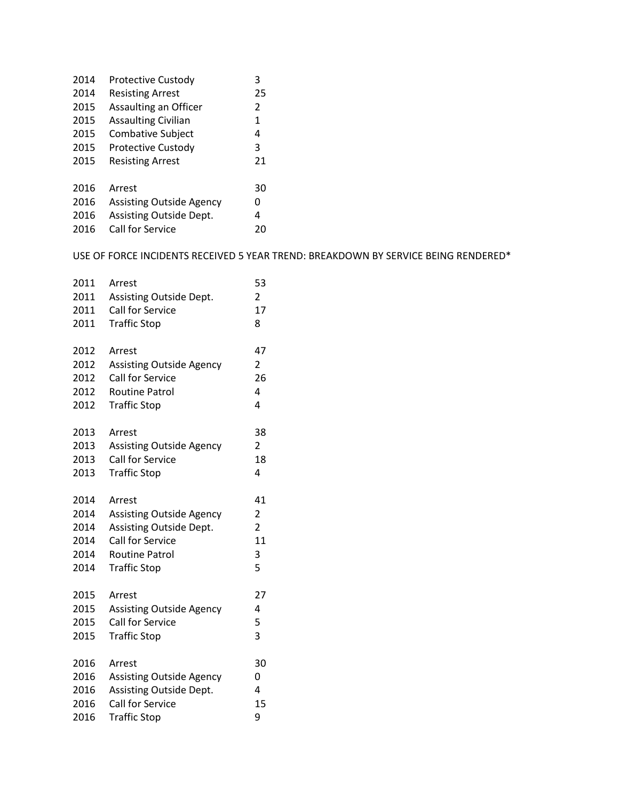| 2014 | <b>Protective Custody</b>       | 3             |
|------|---------------------------------|---------------|
| 2014 | <b>Resisting Arrest</b>         | 25            |
| 2015 | Assaulting an Officer           | $\mathcal{P}$ |
| 2015 | <b>Assaulting Civilian</b>      | 1             |
| 2015 | <b>Combative Subject</b>        | 4             |
| 2015 | <b>Protective Custody</b>       | 3             |
| 2015 | <b>Resisting Arrest</b>         | 21            |
|      |                                 |               |
| 2016 | Arrest                          | 30            |
| 2016 | <b>Assisting Outside Agency</b> | 0             |
| 2016 | Assisting Outside Dept.         | 4             |
| 2016 | Call for Service                | 20            |

## USE OF FORCE INCIDENTS RECEIVED 5 YEAR TREND: BREAKDOWN BY SERVICE BEING RENDERED\*

| 2011 | Arrest                          | 53             |
|------|---------------------------------|----------------|
| 2011 | Assisting Outside Dept.         | $\overline{2}$ |
| 2011 | Call for Service                | 17             |
| 2011 | <b>Traffic Stop</b>             | 8              |
| 2012 | Arrest                          | 47             |
| 2012 | <b>Assisting Outside Agency</b> | $\overline{2}$ |
| 2012 | Call for Service                | 26             |
| 2012 | <b>Routine Patrol</b>           | 4              |
| 2012 | <b>Traffic Stop</b>             | 4              |
| 2013 | Arrest                          | 38             |
| 2013 | <b>Assisting Outside Agency</b> | $\overline{2}$ |
| 2013 | Call for Service                | 18             |
| 2013 | <b>Traffic Stop</b>             | 4              |
| 2014 | Arrest                          | 41             |
| 2014 | <b>Assisting Outside Agency</b> | $\overline{2}$ |
| 2014 | Assisting Outside Dept.         | 2              |
| 2014 | <b>Call for Service</b>         | 11             |
| 2014 | <b>Routine Patrol</b>           | 3              |
| 2014 | <b>Traffic Stop</b>             | 5              |
| 2015 | Arrest                          | 27             |
| 2015 | <b>Assisting Outside Agency</b> | 4              |
| 2015 | Call for Service                | 5              |
| 2015 | <b>Traffic Stop</b>             | 3              |
| 2016 | Arrest                          | 30             |
| 2016 | <b>Assisting Outside Agency</b> | 0              |
| 2016 | Assisting Outside Dept.         | 4              |
| 2016 | Call for Service                | 15             |
| 2016 | <b>Traffic Stop</b>             | 9              |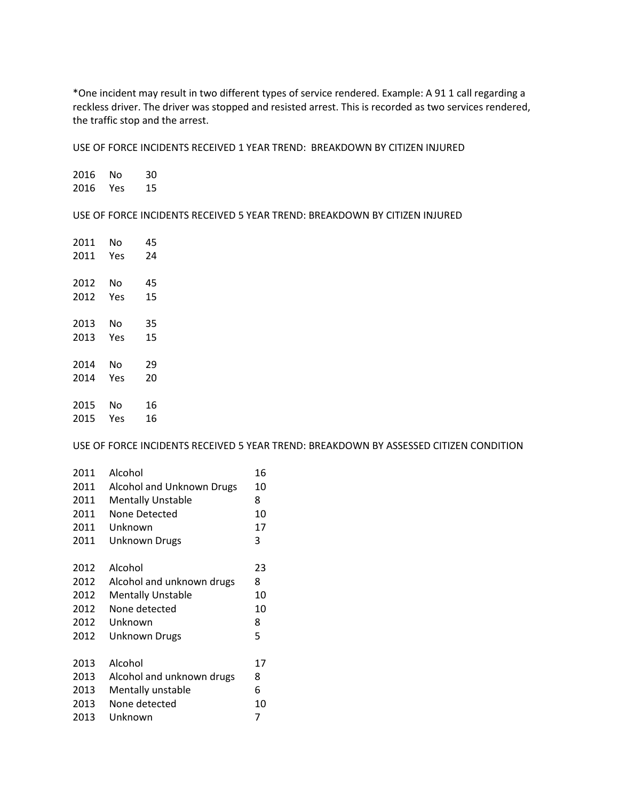\*One incident may result in two different types of service rendered. Example: A 91 1 call regarding a reckless driver. The driver was stopped and resisted arrest. This is recorded as two services rendered, the traffic stop and the arrest.

USE OF FORCE INCIDENTS RECEIVED 1 YEAR TREND: BREAKDOWN BY CITIZEN INJURED

 No 30 Yes 15

USE OF FORCE INCIDENTS RECEIVED 5 YEAR TREND: BREAKDOWN BY CITIZEN INJURED

| No  | 45 |
|-----|----|
| Yes | 24 |
|     |    |
| No  | 45 |
| Yes | 15 |
|     |    |
| No  | 35 |
| Yes | 15 |
|     |    |
| No  | 29 |
| Yes | 20 |
|     |    |
| No  | 16 |
| Yes | 16 |
|     |    |

USE OF FORCE INCIDENTS RECEIVED 5 YEAR TREND: BREAKDOWN BY ASSESSED CITIZEN CONDITION

| 2011 | Alcohol                   | 16 |
|------|---------------------------|----|
| 2011 | Alcohol and Unknown Drugs | 10 |
| 2011 | <b>Mentally Unstable</b>  | 8  |
| 2011 | None Detected             | 10 |
| 2011 | Unknown                   | 17 |
| 2011 | <b>Unknown Drugs</b>      | 3  |
|      |                           |    |
| 2012 | Alcohol                   | 23 |
| 2012 | Alcohol and unknown drugs | 8  |
| 2012 | <b>Mentally Unstable</b>  | 10 |
| 2012 | None detected             | 10 |
| 2012 | Unknown                   | 8  |
| 2012 | <b>Unknown Drugs</b>      | 5  |
|      |                           |    |
| 2013 | Alcohol                   | 17 |
| 2013 | Alcohol and unknown drugs | 8  |
| 2013 | Mentally unstable         | 6  |
| 2013 | None detected             | 10 |
| 2013 | Unknown                   | 7  |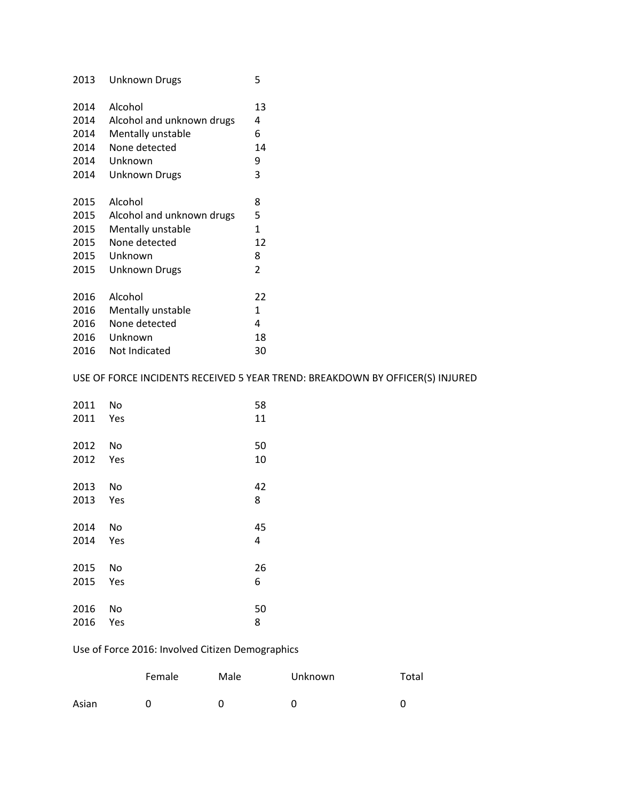| 2013 | <b>Unknown Drugs</b>      | 5            |
|------|---------------------------|--------------|
| 2014 | Alcohol                   | 13           |
| 2014 | Alcohol and unknown drugs | 4            |
| 2014 | Mentally unstable         | 6            |
| 2014 | None detected             | 14           |
| 2014 | Unknown                   | 9            |
| 2014 | Unknown Drugs             | 3            |
|      |                           |              |
| 2015 | Alcohol                   | 8            |
| 2015 | Alcohol and unknown drugs | 5            |
| 2015 | Mentally unstable         | $\mathbf{1}$ |
| 2015 | None detected             | 12           |
| 2015 | Unknown                   | 8            |
| 2015 | <b>Unknown Drugs</b>      | 2            |
|      |                           |              |
| 2016 | Alcohol                   | 22           |
| 2016 | Mentally unstable         | 1            |
| 2016 | None detected             | 4            |
| 2016 | Unknown                   | 18           |
| 2016 | Not Indicated             | 30           |

## USE OF FORCE INCIDENTS RECEIVED 5 YEAR TREND: BREAKDOWN BY OFFICER(S) INJURED

| 2011 | No  | 58 |
|------|-----|----|
| 2011 | Yes | 11 |
| 2012 | No  | 50 |
| 2012 | Yes | 10 |
| 2013 | No  | 42 |
| 2013 | Yes | 8  |
| 2014 | No  | 45 |
| 2014 | Yes | 4  |
| 2015 | No  | 26 |
| 2015 | Yes | 6  |
| 2016 | No  | 50 |
| 2016 | Yes | 8  |

## Use of Force 2016: Involved Citizen Demographics

|       | Female | Male | <b>Unknown</b> | Total |
|-------|--------|------|----------------|-------|
| Asian |        |      |                |       |